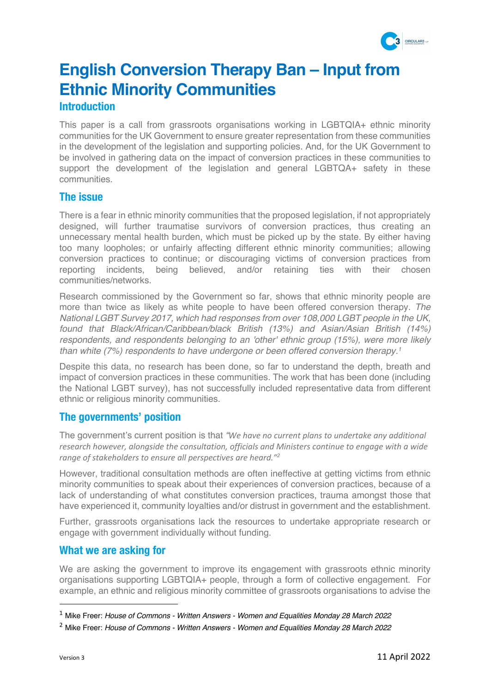

# **English Conversion Therapy Ban – Input from Ethnic Minority Communities**

# **Introduction**

This paper is a call from grassroots organisations working in LGBTQIA+ ethnic minority communities for the UK Government to ensure greater representation from these communities in the development of the legislation and supporting policies. And, for the UK Government to be involved in gathering data on the impact of conversion practices in these communities to support the development of the legislation and general LGBTQA+ safety in these communities.

## **The issue**

There is a fear in ethnic minority communities that the proposed legislation, if not appropriately designed, will further traumatise survivors of conversion practices, thus creating an unnecessary mental health burden, which must be picked up by the state. By either having too many loopholes; or unfairly affecting different ethnic minority communities; allowing conversion practices to continue; or discouraging victims of conversion practices from reporting incidents, being believed, and/or retaining ties with their chosen communities/networks.

Research commissioned by the Government so far, shows that ethnic minority people are more than twice as likely as white people to have been offered conversion therapy. *The National LGBT Survey 2017, which had responses from over 108,000 LGBT people in the UK, found that Black/African/Caribbean/black British (13%) and Asian/Asian British (14%) respondents, and respondents belonging to an 'other' ethnic group (15%), were more likely than white (7%) respondents to have undergone or been offered conversion therapy. 1*

Despite this data, no research has been done, so far to understand the depth, breath and impact of conversion practices in these communities. The work that has been done (including the National LGBT survey), has not successfully included representative data from different ethnic or religious minority communities.

# **The governments' position**

The government's current position is that *"We have no current plans to undertake any additional research however, alongside the consultation, officials and Ministers continue to engage with a wide range of stakeholders to ensure all perspectives are heard."2*

However, traditional consultation methods are often ineffective at getting victims from ethnic minority communities to speak about their experiences of conversion practices, because of a lack of understanding of what constitutes conversion practices, trauma amongst those that have experienced it, community loyalties and/or distrust in government and the establishment.

Further, grassroots organisations lack the resources to undertake appropriate research or engage with government individually without funding.

### **What we are asking for**

We are asking the government to improve its engagement with grassroots ethnic minority organisations supporting LGBTQIA+ people, through a form of collective engagement. For example, an ethnic and religious minority committee of grassroots organisations to advise the

<sup>1</sup> Mike Freer: *House of Commons - Written Answers - Women and Equalities Monday 28 March 2022*

<sup>2</sup> Mike Freer: *House of Commons - Written Answers - Women and Equalities Monday 28 March 2022*